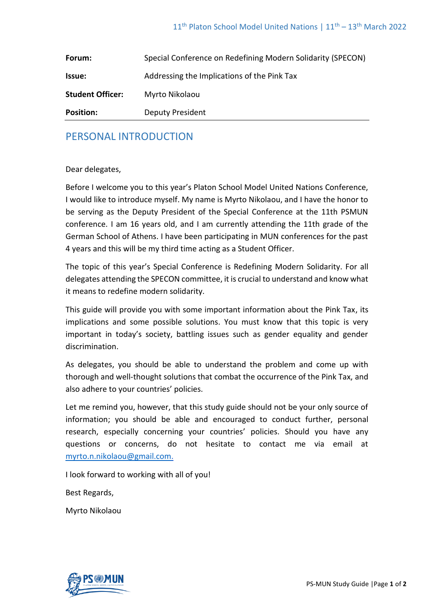| Forum:                  | Special Conference on Redefining Modern Solidarity (SPECON) |
|-------------------------|-------------------------------------------------------------|
| Issue:                  | Addressing the Implications of the Pink Tax                 |
| <b>Student Officer:</b> | Myrto Nikolaou                                              |
| <b>Position:</b>        | <b>Deputy President</b>                                     |

# PERSONAL INTRODUCTION

#### Dear delegates,

Before I welcome you to this year's Platon School Model United Nations Conference, I would like to introduce myself. My name is Myrto Nikolaou, and I have the honor to be serving as the Deputy President of the Special Conference at the 11th PSMUN conference. I am 16 years old, and I am currently attending the 11th grade of the German School of Athens. I have been participating in MUN conferences for the past 4 years and this will be my third time acting as a Student Officer.

The topic of this year's Special Conference is Redefining Modern Solidarity. For all delegates attending the SPECON committee, it is crucial to understand and know what it means to redefine modern solidarity.

This guide will provide you with some important information about the Pink Tax, its implications and some possible solutions. You must know that this topic is very important in today's society, battling issues such as gender equality and gender discrimination.

As delegates, you should be able to understand the problem and come up with thorough and well-thought solutions that combat the occurrence of the Pink Tax, and also adhere to your countries' policies.

Let me remind you, however, that this study guide should not be your only source of information; you should be able and encouraged to conduct further, personal research, especially concerning your countries' policies. Should you have any questions or concerns, do not hesitate to contact me via email at myrto.n.nikolaou@gmail.com.

I look forward to working with all of you!

Best Regards,

Myrto Nikolaou

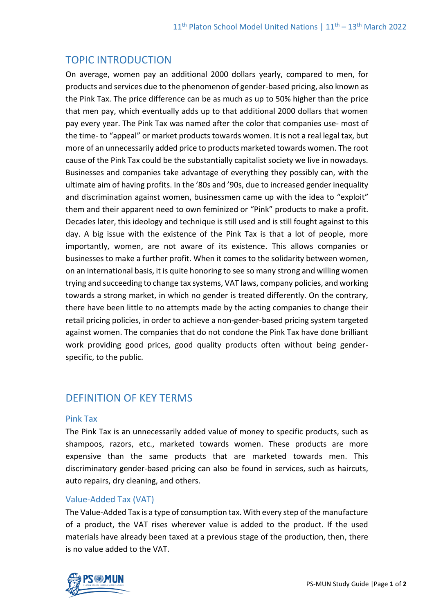# TOPIC INTRODUCTION

On average, women pay an additional 2000 dollars yearly, compared to men, for products and services due to the phenomenon of gender-based pricing, also known as the Pink Tax. The price difference can be as much as up to 50% higher than the price that men pay, which eventually adds up to that additional 2000 dollars that women pay every year. The Pink Tax was named after the color that companies use- most of the time- to "appeal" or market products towards women. It is not a real legal tax, but more of an unnecessarily added price to products marketed towards women. The root cause of the Pink Tax could be the substantially capitalist society we live in nowadays. Businesses and companies take advantage of everything they possibly can, with the ultimate aim of having profits. In the '80s and '90s, due to increased gender inequality and discrimination against women, businessmen came up with the idea to "exploit" them and their apparent need to own feminized or "Pink" products to make a profit. Decades later, this ideology and technique is still used and is still fought against to this day. A big issue with the existence of the Pink Tax is that a lot of people, more importantly, women, are not aware of its existence. This allows companies or businesses to make a further profit. When it comes to the solidarity between women, on an international basis, it is quite honoring to see so many strong and willing women trying and succeeding to change tax systems, VAT laws, company policies, and working towards a strong market, in which no gender is treated differently. On the contrary, there have been little to no attempts made by the acting companies to change their retail pricing policies, in order to achieve a non-gender-based pricing system targeted against women. The companies that do not condone the Pink Tax have done brilliant work providing good prices, good quality products often without being genderspecific, to the public.

# DEFINITION OF KEY TERMS

#### Pink Tax

The Pink Tax is an unnecessarily added value of money to specific products, such as shampoos, razors, etc., marketed towards women. These products are more expensive than the same products that are marketed towards men. This discriminatory gender-based pricing can also be found in services, such as haircuts, auto repairs, dry cleaning, and others.

## Value-Added Tax (VAT)

The Value-Added Tax is a type of consumption tax. With every step of the manufacture of a product, the VAT rises wherever value is added to the product. If the used materials have already been taxed at a previous stage of the production, then, there is no value added to the VAT.

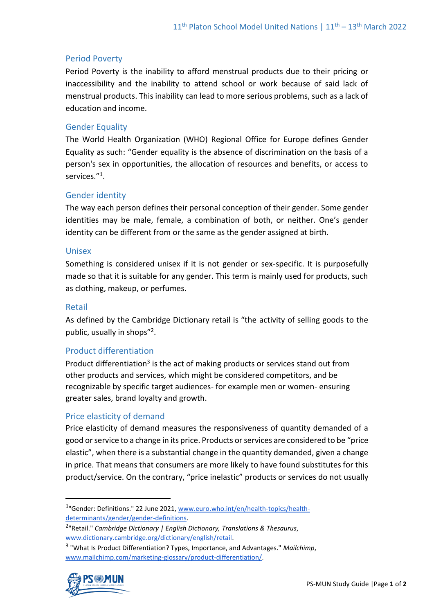#### Period Poverty

Period Poverty is the inability to afford menstrual products due to their pricing or inaccessibility and the inability to attend school or work because of said lack of menstrual products. This inability can lead to more serious problems, such as a lack of education and income.

#### Gender Equality

The World Health Organization (WHO) Regional Office for Europe defines Gender Equality as such: "Gender equality is the absence of discrimination on the basis of a person's sex in opportunities, the allocation of resources and benefits, or access to services."<sup>1</sup>.

#### Gender identity

The way each person defines their personal conception of their gender. Some gender identities may be male, female, a combination of both, or neither. One's gender identity can be different from or the same as the gender assigned at birth.

#### Unisex

Something is considered unisex if it is not gender or sex-specific. It is purposefully made so that it is suitable for any gender. This term is mainly used for products, such as clothing, makeup, or perfumes.

#### Retail

As defined by the Cambridge Dictionary retail is "the activity of selling goods to the public, usually in shops"<sup>2</sup>.

#### Product differentiation

Product differentiation<sup>3</sup> is the act of making products or services stand out from other products and services, which might be considered competitors, and be recognizable by specific target audiences- for example men or women- ensuring greater sales, brand loyalty and growth.

#### Price elasticity of demand

Price elasticity of demand measures the responsiveness of quantity demanded of a good or service to a change in its price. Products or services are considered to be "price elastic", when there is a substantial change in the quantity demanded, given a change in price. That means that consumers are more likely to have found substitutes for this product/service. On the contrary, "price inelastic" products or services do not usually

<sup>3</sup> "What Is Product Differentiation? Types, Importance, and Advantages." *Mailchimp*, [www.mailchimp.com/marketing-glossary/product-differentiation/.](http://www.mailchimp.com/marketing-glossary/product-differentiation/)



<sup>&</sup>lt;sup>1</sup>"Gender: Definitions." 22 June 2021[, www.euro.who.int/en/health-topics/health](http://www.euro.who.int/en/health-topics/health-determinants/gender/gender-definitions)[determinants/gender/gender-definitions.](http://www.euro.who.int/en/health-topics/health-determinants/gender/gender-definitions)

<sup>2</sup> "Retail." *Cambridge Dictionary | English Dictionary, Translations & Thesaurus*, [www.dictionary.cambridge.org/dictionary/english/retail.](http://www.dictionary.cambridge.org/dictionary/english/retail)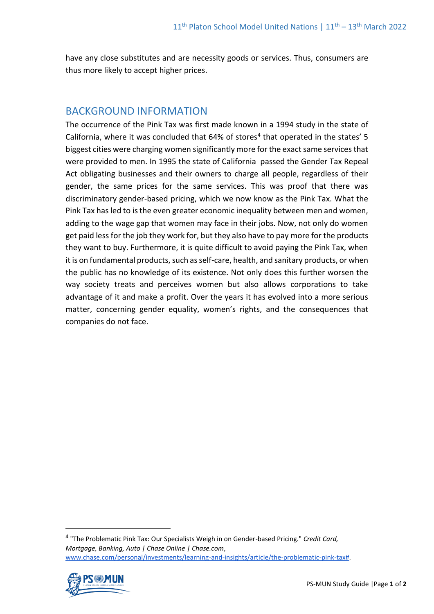have any close substitutes and are necessity goods or services. Thus, consumers are thus more likely to accept higher prices.

# BACKGROUND INFORMATION

The occurrence of the Pink Tax was first made known in a 1994 study in the state of California, where it was concluded that  $64\%$  of stores<sup>4</sup> that operated in the states' 5 biggest cities were charging women significantly more for the exact same services that were provided to men. In 1995 the state of California passed the Gender Tax Repeal Act obligating businesses and their owners to charge all people, regardless of their gender, the same prices for the same services. This was proof that there was discriminatory gender-based pricing, which we now know as the Pink Tax. What the Pink Tax has led to is the even greater economic inequality between men and women, adding to the wage gap that women may face in their jobs. Now, not only do women get paid less for the job they work for, but they also have to pay more for the products they want to buy. Furthermore, it is quite difficult to avoid paying the Pink Tax, when it is on fundamental products, such as self-care, health, and sanitary products, or when the public has no knowledge of its existence. Not only does this further worsen the way society treats and perceives women but also allows corporations to take advantage of it and make a profit. Over the years it has evolved into a more serious matter, concerning gender equality, women's rights, and the consequences that companies do not face.

<sup>4</sup> "The Problematic Pink Tax: Our Specialists Weigh in on Gender-based Pricing." *Credit Card, Mortgage, Banking, Auto | Chase Online | Chase.com*, [www.chase.com/personal/investments/learning-and-insights/article/the-problematic-pink-tax#.](http://www.chase.com/personal/investments/learning-and-insights/article/the-problematic-pink-tax)

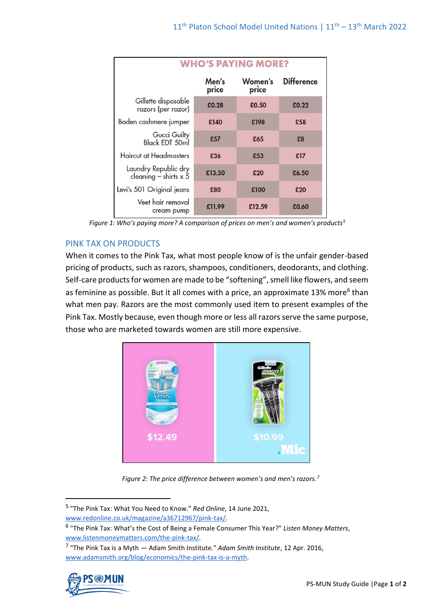| <b>WHO'S PAYING MORE?</b>                     |                |                  |                   |  |
|-----------------------------------------------|----------------|------------------|-------------------|--|
|                                               | Men's<br>price | Women's<br>price | <b>Difference</b> |  |
| Gillette disposable<br>razors (per razor)     | £0.28          | £0.50            | £0.22             |  |
| Boden cashmere jumper                         | £140           | £198             | £58               |  |
| <b>Gucci Guilty</b><br><b>Black EDT 50ml</b>  | £57            | £65              | £8                |  |
| <b>Haircut at Headmasters</b>                 | £36            | £53              | £17               |  |
| Laundry Republic dry<br>cleaning – shirts x 5 | £13.50         | £20              | £6.50             |  |
| Levi's 501 Original jeans                     | £80            | £100             | £20               |  |
| Veet hair removal<br>cream pump               | £11.99         | £12.59           | £0.60             |  |

*Figure 1: Who's paying more? A comparison of prices on men's and women's products<sup>5</sup>*

## PINK TAX ON PRODUCTS

When it comes to the Pink Tax, what most people know of is the unfair gender-based pricing of products, such as razors, shampoos, conditioners, deodorants, and clothing. Self-care products for women are made to be "softening", smell like flowers, and seem as feminine as possible. But it all comes with a price, an approximate 13% more<sup>6</sup> than what men pay. Razors are the most commonly used item to present examples of the Pink Tax. Mostly because, even though more or less all razors serve the same purpose, those who are marketed towards women are still more expensive.



*Figure 2: The price difference between women's and men's razors.<sup>7</sup>*

<sup>7</sup> "The Pink Tax is a Myth — Adam Smith Institute." *Adam Smith Institute*, 12 Apr. 2016, [www.adamsmith.org/blog/economics/the-pink-tax-is-a-myth.](http://www.adamsmith.org/blog/economics/the-pink-tax-is-a-myth)



<sup>5</sup> "The Pink Tax: What You Need to Know." *Red Online*, 14 June 2021, [www.redonline.co.uk/magazine/a36712967/pink-tax/.](http://www.redonline.co.uk/magazine/a36712967/pink-tax/)

<sup>6</sup> "The Pink Tax: What's the Cost of Being a Female Consumer This Year?" *Listen Money Matters*, [www.listenmoneymatters.com/the-pink-tax/.](http://www.listenmoneymatters.com/the-pink-tax/)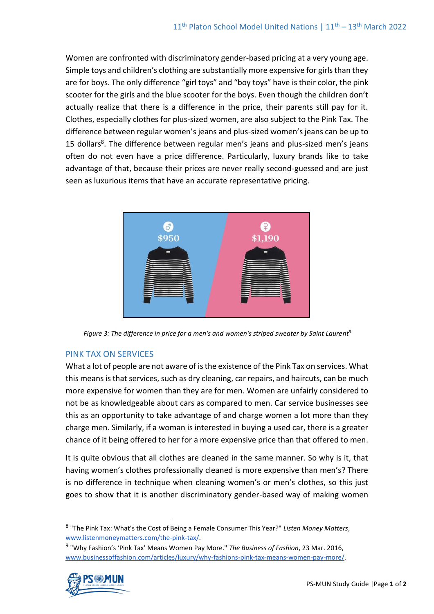Women are confronted with discriminatory gender-based pricing at a very young age. Simple toys and children's clothing are substantially more expensive for girls than they are for boys. The only difference "girl toys" and "boy toys" have is their color, the pink scooter for the girls and the blue scooter for the boys. Even though the children don't actually realize that there is a difference in the price, their parents still pay for it. Clothes, especially clothes for plus-sized women, are also subject to the Pink Tax. The difference between regular women's jeans and plus-sized women's jeans can be up to 15 dollars<sup>8</sup>. The difference between regular men's jeans and plus-sized men's jeans often do not even have a price difference. Particularly, luxury brands like to take advantage of that, because their prices are never really second-guessed and are just seen as luxurious items that have an accurate representative pricing.



*Figure 3: The difference in price for a men's and women's striped sweater by Saint Laurent<sup>9</sup>*

#### PINK TAX ON SERVICES

What a lot of people are not aware of is the existence of the Pink Tax on services. What this means is that services, such as dry cleaning, car repairs, and haircuts, can be much more expensive for women than they are for men. Women are unfairly considered to not be as knowledgeable about cars as compared to men. Car service businesses see this as an opportunity to take advantage of and charge women a lot more than they charge men. Similarly, if a woman is interested in buying a used car, there is a greater chance of it being offered to her for a more expensive price than that offered to men.

It is quite obvious that all clothes are cleaned in the same manner. So why is it, that having women's clothes professionally cleaned is more expensive than men's? There is no difference in technique when cleaning women's or men's clothes, so this just goes to show that it is another discriminatory gender-based way of making women

<sup>9</sup> "Why Fashion's 'Pink Tax' Means Women Pay More." *The Business of Fashion*, 23 Mar. 2016, [www.businessoffashion.com/articles/luxury/why-fashions-pink-tax-means-women-pay-more/.](http://www.businessoffashion.com/articles/luxury/why-fashions-pink-tax-means-women-pay-more/)



<sup>8</sup> "The Pink Tax: What's the Cost of Being a Female Consumer This Year?" *Listen Money Matters*, [www.listenmoneymatters.com/the-pink-tax/.](http://www.listenmoneymatters.com/the-pink-tax/)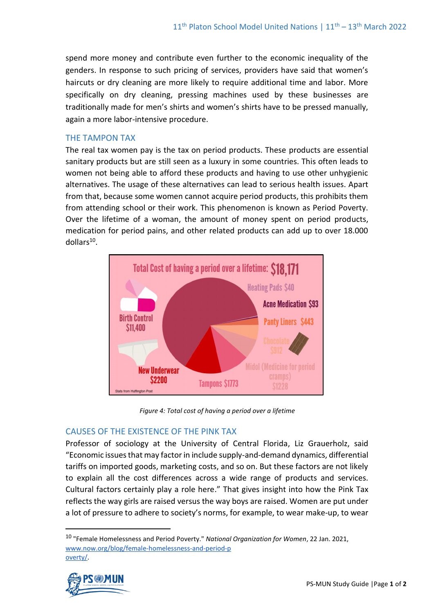spend more money and contribute even further to the economic inequality of the genders. In response to such pricing of services, providers have said that women's haircuts or dry cleaning are more likely to require additional time and labor. More specifically on dry cleaning, pressing machines used by these businesses are traditionally made for men's shirts and women's shirts have to be pressed manually, again a more labor-intensive procedure.

#### THE TAMPON TAX

The real tax women pay is the tax on period products. These products are essential sanitary products but are still seen as a luxury in some countries. This often leads to women not being able to afford these products and having to use other unhygienic alternatives. The usage of these alternatives can lead to serious health issues. Apart from that, because some women cannot acquire period products, this prohibits them from attending school or their work. This phenomenon is known as Period Poverty. Over the lifetime of a woman, the amount of money spent on period products, medication for period pains, and other related products can add up to over 18.000 dollars<sup>10</sup>.



*Figure 4: Total cost of having a period over a lifetime*

#### CAUSES OF THE EXISTENCE OF THE PINK TAX

Professor of sociology at the University of Central Florida, Liz Grauerholz, said "Economic issues that may factor in include supply-and-demand dynamics, differential tariffs on imported goods, marketing costs, and so on. But these factors are not likely to explain all the cost differences across a wide range of products and services. Cultural factors certainly play a role here." That gives insight into how the Pink Tax reflects the way girls are raised versus the way boys are raised. Women are put under a lot of pressure to adhere to society's norms, for example, to wear make-up, to wear

<sup>10</sup> "Female Homelessness and Period Poverty." *National Organization for Women*, 22 Jan. 2021, [www.now.org/blog/female-homelessness-and-period-p](http://www.now.org/blog/female-homelessness-and-period-poverty/) [overty/.](http://www.now.org/blog/female-homelessness-and-period-poverty/)

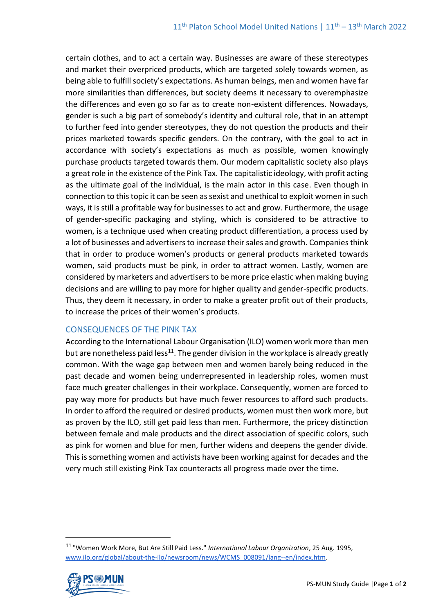certain clothes, and to act a certain way. Businesses are aware of these stereotypes and market their overpriced products, which are targeted solely towards women, as being able to fulfill society's expectations. As human beings, men and women have far more similarities than differences, but society deems it necessary to overemphasize the differences and even go so far as to create non-existent differences. Nowadays, gender is such a big part of somebody's identity and cultural role, that in an attempt to further feed into gender stereotypes, they do not question the products and their prices marketed towards specific genders. On the contrary, with the goal to act in accordance with society's expectations as much as possible, women knowingly purchase products targeted towards them. Our modern capitalistic society also plays a great role in the existence of the Pink Tax. The capitalistic ideology, with profit acting as the ultimate goal of the individual, is the main actor in this case. Even though in connection to this topic it can be seen as sexist and unethical to exploit women in such ways, it is still a profitable way for businesses to act and grow. Furthermore, the usage of gender-specific packaging and styling, which is considered to be attractive to women, is a technique used when creating product differentiation, a process used by a lot of businesses and advertisers to increase their sales and growth. Companies think that in order to produce women's products or general products marketed towards women, said products must be pink, in order to attract women. Lastly, women are considered by marketers and advertisers to be more price elastic when making buying decisions and are willing to pay more for higher quality and gender-specific products. Thus, they deem it necessary, in order to make a greater profit out of their products, to increase the prices of their women's products.

#### CONSEQUENCES OF THE PINK TAX

According to the International Labour Organisation (ILO) women work more than men but are nonetheless paid less<sup>11</sup>. The gender division in the workplace is already greatly common. With the wage gap between men and women barely being reduced in the past decade and women being underrepresented in leadership roles, women must face much greater challenges in their workplace. Consequently, women are forced to pay way more for products but have much fewer resources to afford such products. In order to afford the required or desired products, women must then work more, but as proven by the ILO, still get paid less than men. Furthermore, the pricey distinction between female and male products and the direct association of specific colors, such as pink for women and blue for men, further widens and deepens the gender divide. This is something women and activists have been working against for decades and the very much still existing Pink Tax counteracts all progress made over the time.

<sup>11</sup> "Women Work More, But Are Still Paid Less." *International Labour Organization*, 25 Aug. 1995, [www.ilo.org/global/about-the-ilo/newsroom/news/WCMS\\_008091/lang--en/index.htm.](http://www.ilo.org/global/about-the-ilo/newsroom/news/WCMS_008091/lang--en/index.htm)

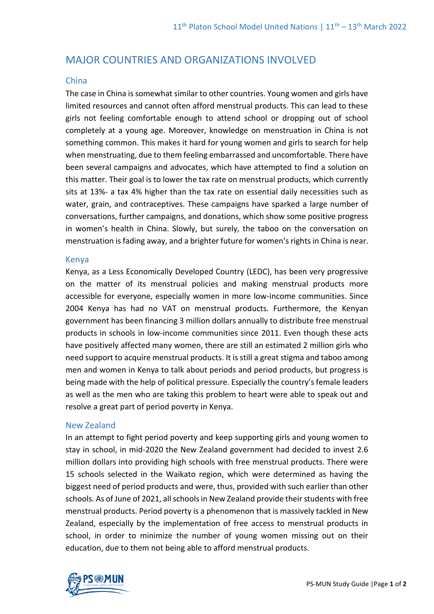# MAJOR COUNTRIES AND ORGANIZATIONS INVOLVED

#### China

The case in China is somewhat similar to other countries. Young women and girls have limited resources and cannot often afford menstrual products. This can lead to these girls not feeling comfortable enough to attend school or dropping out of school completely at a young age. Moreover, knowledge on menstruation in China is not something common. This makes it hard for young women and girls to search for help when menstruating, due to them feeling embarrassed and uncomfortable. There have been several campaigns and advocates, which have attempted to find a solution on this matter. Their goal is to lower the tax rate on menstrual products, which currently sits at 13%- a tax 4% higher than the tax rate on essential daily necessities such as water, grain, and contraceptives. These campaigns have sparked a large number of conversations, further campaigns, and donations, which show some positive progress in women's health in China. Slowly, but surely, the taboo on the conversation on menstruation is fading away, and a brighter future for women's rights in China is near.

#### Kenya

Kenya, as a Less Economically Developed Country (LEDC), has been very progressive on the matter of its menstrual policies and making menstrual products more accessible for everyone, especially women in more low-income communities. Since 2004 Kenya has had no VAT on menstrual products. Furthermore, the Kenyan government has been financing 3 million dollars annually to distribute free menstrual products in schools in low-income communities since 2011. Even though these acts have positively affected many women, there are still an estimated 2 million girls who need support to acquire menstrual products. It is still a great stigma and taboo among men and women in Kenya to talk about periods and period products, but progress is being made with the help of political pressure. Especially the country's female leaders as well as the men who are taking this problem to heart were able to speak out and resolve a great part of period poverty in Kenya.

#### New Zealand

In an attempt to fight period poverty and keep supporting girls and young women to stay in school, in mid-2020 the New Zealand government had decided to invest 2.6 million dollars into providing high schools with free menstrual products. There were 15 schools selected in the Waikato region, which were determined as having the biggest need of period products and were, thus, provided with such earlier than other schools. As of June of 2021, all schools in New Zealand provide their students with free menstrual products. Period poverty is a phenomenon that is massively tackled in New Zealand, especially by the implementation of free access to menstrual products in school, in order to minimize the number of young women missing out on their education, due to them not being able to afford menstrual products.

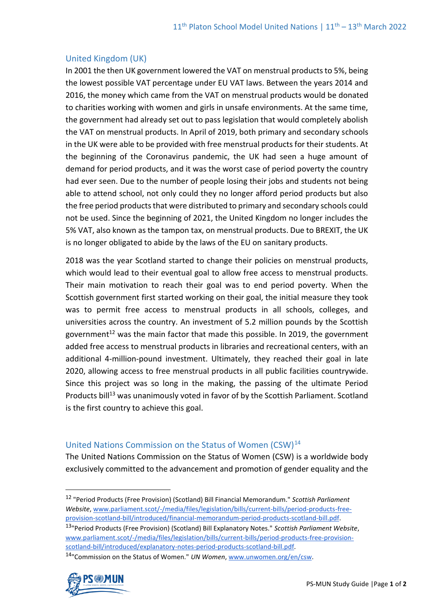#### United Kingdom (UK)

In 2001 the then UK government lowered the VAT on menstrual products to 5%, being the lowest possible VAT percentage under EU VAT laws. Between the years 2014 and 2016, the money which came from the VAT on menstrual products would be donated to charities working with women and girls in unsafe environments. At the same time, the government had already set out to pass legislation that would completely abolish the VAT on menstrual products. In April of 2019, both primary and secondary schools in the UK were able to be provided with free menstrual products for their students. At the beginning of the Coronavirus pandemic, the UK had seen a huge amount of demand for period products, and it was the worst case of period poverty the country had ever seen. Due to the number of people losing their jobs and students not being able to attend school, not only could they no longer afford period products but also the free period products that were distributed to primary and secondary schools could not be used. Since the beginning of 2021, the United Kingdom no longer includes the 5% VAT, also known as the tampon tax, on menstrual products. Due to BREXIT, the UK is no longer obligated to abide by the laws of the EU on sanitary products.

2018 was the year Scotland started to change their policies on menstrual products, which would lead to their eventual goal to allow free access to menstrual products. Their main motivation to reach their goal was to end period poverty. When the Scottish government first started working on their goal, the initial measure they took was to permit free access to menstrual products in all schools, colleges, and universities across the country. An investment of 5.2 million pounds by the Scottish government<sup>12</sup> was the main factor that made this possible. In 2019, the government added free access to menstrual products in libraries and recreational centers, with an additional 4-million-pound investment. Ultimately, they reached their goal in late 2020, allowing access to free menstrual products in all public facilities countrywide. Since this project was so long in the making, the passing of the ultimate Period Products bill<sup>13</sup> was unanimously voted in favor of by the Scottish Parliament. Scotland is the first country to achieve this goal.

#### United Nations Commission on the Status of Women (CSW)<sup>14</sup>

The United Nations Commission on the Status of Women (CSW) is a worldwide body exclusively committed to the advancement and promotion of gender equality and the

<sup>13</sup>"Period Products (Free Provision) (Scotland) Bill Explanatory Notes." *Scottish Parliament Website*, [www.parliament.scot/-/media/files/legislation/bills/current-bills/period-products-free-provision](http://www.parliament.scot/-/media/files/legislation/bills/current-bills/period-products-free-provision-scotland-bill/introduced/explanatory-notes-period-products-scotland-bill.pdf)[scotland-bill/introduced/explanatory-notes-period-products-scotland-bill.pdf.](http://www.parliament.scot/-/media/files/legislation/bills/current-bills/period-products-free-provision-scotland-bill/introduced/explanatory-notes-period-products-scotland-bill.pdf)

<sup>14</sup>"Commission on the Status of Women." *UN Women*[, www.unwomen.org/en/csw.](http://www.unwomen.org/en/csw)



<sup>12</sup> "Period Products (Free Provision) (Scotland) Bill Financial Memorandum." *Scottish Parliament Website*, [www.parliament.scot/-/media/files/legislation/bills/current-bills/period-products-free](http://www.parliament.scot/-/media/files/legislation/bills/current-bills/period-products-free-provision-scotland-bill/introduced/financial-memorandum-period-products-scotland-bill.pdf)[provision-scotland-bill/introduced/financial-memorandum-period-products-scotland-bill.pdf.](http://www.parliament.scot/-/media/files/legislation/bills/current-bills/period-products-free-provision-scotland-bill/introduced/financial-memorandum-period-products-scotland-bill.pdf)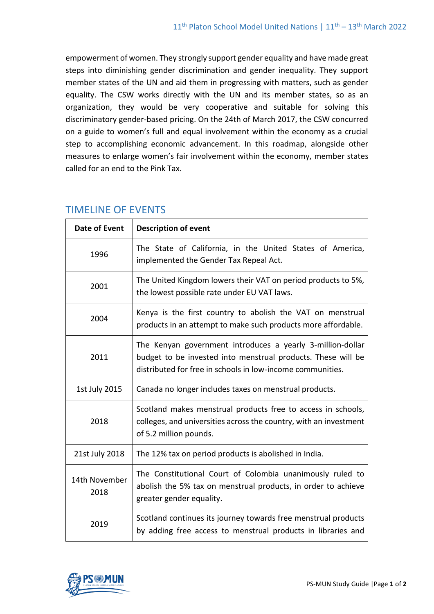empowerment of women. They strongly support gender equality and have made great steps into diminishing gender discrimination and gender inequality. They support member states of the UN and aid them in progressing with matters, such as gender equality. The CSW works directly with the UN and its member states, so as an organization, they would be very cooperative and suitable for solving this discriminatory gender-based pricing. On the 24th of March 2017, the CSW concurred on a guide to women's full and equal involvement within the economy as a crucial step to accomplishing economic advancement. In this roadmap, alongside other measures to enlarge women's fair involvement within the economy, member states called for an end to the Pink Tax.

| <b>Date of Event</b>  | <b>Description of event</b>                                                                                                                                                              |
|-----------------------|------------------------------------------------------------------------------------------------------------------------------------------------------------------------------------------|
| 1996                  | The State of California, in the United States of America,<br>implemented the Gender Tax Repeal Act.                                                                                      |
| 2001                  | The United Kingdom lowers their VAT on period products to 5%,<br>the lowest possible rate under EU VAT laws.                                                                             |
| 2004                  | Kenya is the first country to abolish the VAT on menstrual<br>products in an attempt to make such products more affordable.                                                              |
| 2011                  | The Kenyan government introduces a yearly 3-million-dollar<br>budget to be invested into menstrual products. These will be<br>distributed for free in schools in low-income communities. |
| 1st July 2015         | Canada no longer includes taxes on menstrual products.                                                                                                                                   |
| 2018                  | Scotland makes menstrual products free to access in schools,<br>colleges, and universities across the country, with an investment<br>of 5.2 million pounds.                              |
| 21st July 2018        | The 12% tax on period products is abolished in India.                                                                                                                                    |
| 14th November<br>2018 | The Constitutional Court of Colombia unanimously ruled to<br>abolish the 5% tax on menstrual products, in order to achieve<br>greater gender equality.                                   |
| 2019                  | Scotland continues its journey towards free menstrual products<br>by adding free access to menstrual products in libraries and                                                           |

# TIMELINE OF EVENTS

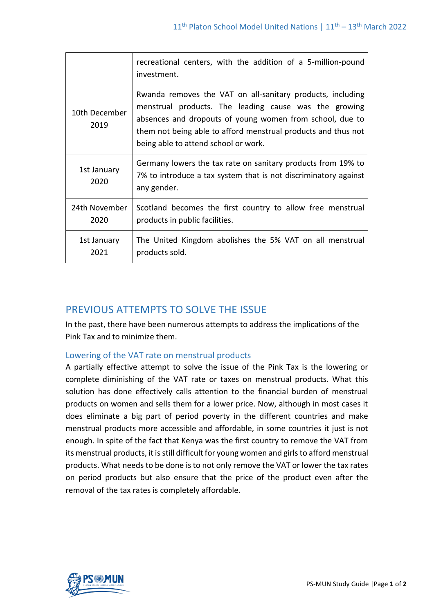|                       | recreational centers, with the addition of a 5-million-pound<br>investment.                                                                                                                                                                                                              |
|-----------------------|------------------------------------------------------------------------------------------------------------------------------------------------------------------------------------------------------------------------------------------------------------------------------------------|
| 10th December<br>2019 | Rwanda removes the VAT on all-sanitary products, including<br>menstrual products. The leading cause was the growing<br>absences and dropouts of young women from school, due to<br>them not being able to afford menstrual products and thus not<br>being able to attend school or work. |
| 1st January<br>2020   | Germany lowers the tax rate on sanitary products from 19% to<br>7% to introduce a tax system that is not discriminatory against<br>any gender.                                                                                                                                           |
| 24th November<br>2020 | Scotland becomes the first country to allow free menstrual<br>products in public facilities.                                                                                                                                                                                             |
| 1st January<br>2021   | The United Kingdom abolishes the 5% VAT on all menstrual<br>products sold.                                                                                                                                                                                                               |

# PREVIOUS ATTEMPTS TO SOLVE THE ISSUE

In the past, there have been numerous attempts to address the implications of the Pink Tax and to minimize them.

## Lowering of the VAT rate on menstrual products

A partially effective attempt to solve the issue of the Pink Tax is the lowering or complete diminishing of the VAT rate or taxes on menstrual products. What this solution has done effectively calls attention to the financial burden of menstrual products on women and sells them for a lower price. Now, although in most cases it does eliminate a big part of period poverty in the different countries and make menstrual products more accessible and affordable, in some countries it just is not enough. In spite of the fact that Kenya was the first country to remove the VAT from its menstrual products, it is still difficult for young women and girls to afford menstrual products. What needs to be done is to not only remove the VAT or lower the tax rates on period products but also ensure that the price of the product even after the removal of the tax rates is completely affordable.

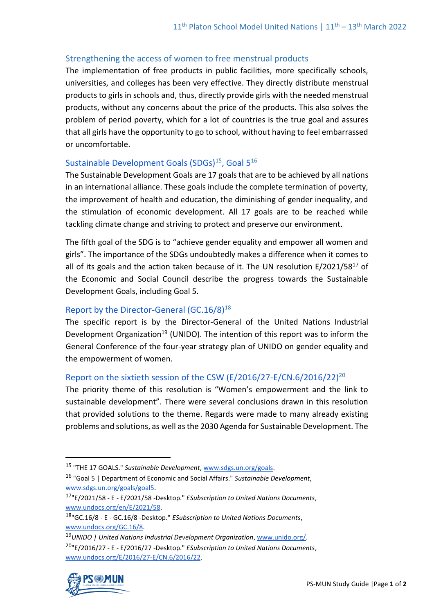## Strengthening the access of women to free menstrual products

The implementation of free products in public facilities, more specifically schools, universities, and colleges has been very effective. They directly distribute menstrual products to girls in schools and, thus, directly provide girls with the needed menstrual products, without any concerns about the price of the products. This also solves the problem of period poverty, which for a lot of countries is the true goal and assures that all girls have the opportunity to go to school, without having to feel embarrassed or uncomfortable.

## Sustainable Development Goals  $(SDGs)^{15}$ , Goal  $5^{16}$

The Sustainable Development Goals are 17 goals that are to be achieved by all nations in an international alliance. These goals include the complete termination of poverty, the improvement of health and education, the diminishing of gender inequality, and the stimulation of economic development. All 17 goals are to be reached while tackling climate change and striving to protect and preserve our environment.

The fifth goal of the SDG is to "achieve gender equality and empower all women and girls". The importance of the SDGs undoubtedly makes a difference when it comes to all of its goals and the action taken because of it. The UN resolution  $E/2021/58^{17}$  of the Economic and Social Council describe the progress towards the Sustainable Development Goals, including Goal 5.

## Report by the Director-General (GC.16/8)<sup>18</sup>

The specific report is by the Director-General of the United Nations Industrial Development Organization<sup>19</sup> (UNIDO). The intention of this report was to inform the General Conference of the four-year strategy plan of UNIDO on gender equality and the empowerment of women.

## Report on the sixtieth session of the CSW (E/2016/27-E/CN.6/2016/22)<sup>20</sup>

The priority theme of this resolution is "Women's empowerment and the link to sustainable development". There were several conclusions drawn in this resolution that provided solutions to the theme. Regards were made to many already existing problems and solutions, as well as the 2030 Agenda for Sustainable Development. The

<sup>19</sup>*UNIDO | United Nations Industrial Development Organization*[, www.unido.org/.](http://www.unido.org/) <sup>20</sup>"E/2016/27 - E - E/2016/27 -Desktop." *ESubscription to United Nations Documents*, [www.undocs.org/E/2016/27-E/CN.6/2016/22.](http://www.undocs.org/E/2016/27-E/CN.6/2016/22)



<sup>15</sup> "THE 17 GOALS." *Sustainable Development*, [www.sdgs.un.org/goals.](http://www.sdgs.un.org/goals)

<sup>16</sup> "Goal 5 | Department of Economic and Social Affairs." *Sustainable Development*, [www.sdgs.un.org/goals/goal5.](http://www.sdgs.un.org/goals/goal5)

<sup>17</sup>"E/2021/58 - E - E/2021/58 -Desktop." *ESubscription to United Nations Documents*, [www.undocs.org/en/E/2021/58.](http://www.undocs.org/en/E/2021/58)

<sup>18</sup>"GC.16/8 - E - GC.16/8 -Desktop." *ESubscription to United Nations Documents*, [www.undocs.org/GC.16/8.](http://www.undocs.org/GC.16/8)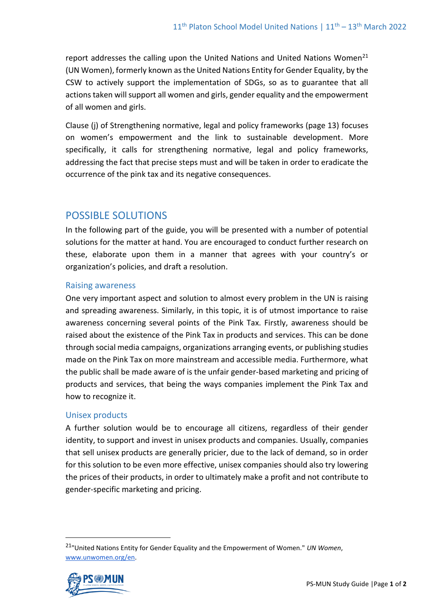report addresses the calling upon the United Nations and United Nations Women<sup>21</sup> (UN Women), formerly known as the United Nations Entity for Gender Equality, by the CSW to actively support the implementation of SDGs, so as to guarantee that all actions taken will support all women and girls, gender equality and the empowerment of all women and girls.

Clause (j) of Strengthening normative, legal and policy frameworks (page 13) focuses on women's empowerment and the link to sustainable development. More specifically, it calls for strengthening normative, legal and policy frameworks, addressing the fact that precise steps must and will be taken in order to eradicate the occurrence of the pink tax and its negative consequences.

# POSSIBLE SOLUTIONS

In the following part of the guide, you will be presented with a number of potential solutions for the matter at hand. You are encouraged to conduct further research on these, elaborate upon them in a manner that agrees with your country's or organization's policies, and draft a resolution.

#### Raising awareness

One very important aspect and solution to almost every problem in the UN is raising and spreading awareness. Similarly, in this topic, it is of utmost importance to raise awareness concerning several points of the Pink Tax. Firstly, awareness should be raised about the existence of the Pink Tax in products and services. This can be done through social media campaigns, organizations arranging events, or publishing studies made on the Pink Tax on more mainstream and accessible media. Furthermore, what the public shall be made aware of is the unfair gender-based marketing and pricing of products and services, that being the ways companies implement the Pink Tax and how to recognize it.

#### Unisex products

A further solution would be to encourage all citizens, regardless of their gender identity, to support and invest in unisex products and companies. Usually, companies that sell unisex products are generally pricier, due to the lack of demand, so in order for this solution to be even more effective, unisex companies should also try lowering the prices of their products, in order to ultimately make a profit and not contribute to gender-specific marketing and pricing.

<sup>21</sup>"United Nations Entity for Gender Equality and the Empowerment of Women." *UN Women*, [www.unwomen.org/en.](http://www.unwomen.org/en)

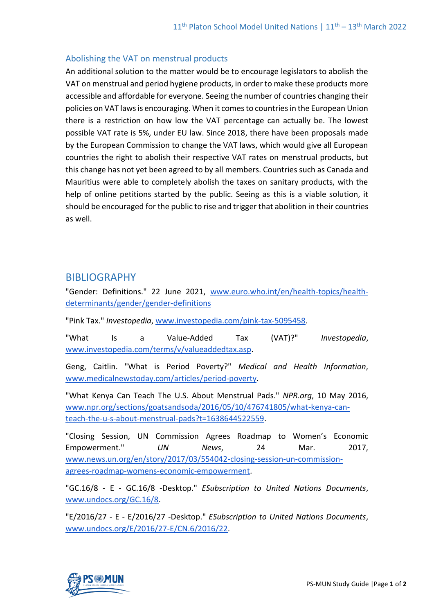## Abolishing the VAT on menstrual products

An additional solution to the matter would be to encourage legislators to abolish the VAT on menstrual and period hygiene products, in order to make these products more accessible and affordable for everyone. Seeing the number of countries changing their policies on VAT laws is encouraging. When it comes to countries in the European Union there is a restriction on how low the VAT percentage can actually be. The lowest possible VAT rate is 5%, under EU law. Since 2018, there have been proposals made by the European Commission to change the VAT laws, which would give all European countries the right to abolish their respective VAT rates on menstrual products, but this change has not yet been agreed to by all members. Countries such as Canada and Mauritius were able to completely abolish the taxes on sanitary products, with the help of online petitions started by the public. Seeing as this is a viable solution, it should be encouraged for the public to rise and trigger that abolition in their countries as well.

## BIBLIOGRAPHY

"Gender: Definitions." 22 June 2021, [www.euro.who.int/en/health-topics/health](about:blank)[determinants/gender/gender-definitions](about:blank)

"Pink Tax." *Investopedia*, [www.investopedia.com/pink-tax-5095458.](about:blank)

"What Is a Value-Added Tax (VAT)?" *Investopedia*, [www.investopedia.com/terms/v/valueaddedtax.asp.](about:blank)

Geng, Caitlin. "What is Period Poverty?" *Medical and Health Information*, [www.medicalnewstoday.com/articles/period-poverty.](about:blank)

"What Kenya Can Teach The U.S. About Menstrual Pads." *NPR.org*, 10 May 2016, [www.npr.org/sections/goatsandsoda/2016/05/10/476741805/what-kenya-can](about:blank)[teach-the-u-s-about-menstrual-pads?t=1638644522559.](about:blank)

"Closing Session, UN Commission Agrees Roadmap to Women's Economic Empowerment." *UN News*, 24 Mar. 2017, [www.news.un.org/en/story/2017/03/554042-closing-session-un-commission](about:blank)[agrees-roadmap-womens-economic-empowerment.](about:blank)

"GC.16/8 - E - GC.16/8 -Desktop." *ESubscription to United Nations Documents*, [www.undocs.org/GC.16/8.](about:blank)

"E/2016/27 - E - E/2016/27 -Desktop." *ESubscription to United Nations Documents*, [www.undocs.org/E/2016/27-E/CN.6/2016/22.](about:blank)

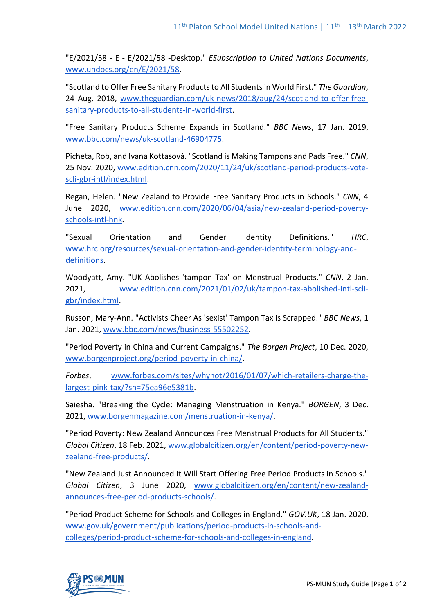"E/2021/58 - E - E/2021/58 -Desktop." *ESubscription to United Nations Documents*, [www.undocs.org/en/E/2021/58.](about:blank)

"Scotland to Offer Free Sanitary Products to All Students in World First." *The Guardian*, 24 Aug. 2018, [www.theguardian.com/uk-news/2018/aug/24/scotland-to-offer-free](about:blank)[sanitary-products-to-all-students-in-world-first.](about:blank)

"Free Sanitary Products Scheme Expands in Scotland." *BBC News*, 17 Jan. 2019, [www.bbc.com/news/uk-scotland-46904775.](about:blank)

Picheta, Rob, and Ivana Kottasová. "Scotland is Making Tampons and Pads Free." *CNN*, 25 Nov. 2020, [www.edition.cnn.com/2020/11/24/uk/scotland-period-products-vote](about:blank)[scli-gbr-intl/index.html.](about:blank)

Regan, Helen. "New Zealand to Provide Free Sanitary Products in Schools." *CNN*, 4 June 2020, [www.edition.cnn.com/2020/06/04/asia/new-zealand-period-poverty](about:blank)[schools-intl-hnk.](about:blank)

"Sexual Orientation and Gender Identity Definitions." *HRC*, [www.hrc.org/resources/sexual-orientation-and-gender-identity-terminology-and](about:blank)[definitions.](about:blank)

Woodyatt, Amy. "UK Abolishes 'tampon Tax' on Menstrual Products." *CNN*, 2 Jan. 2021, [www.edition.cnn.com/2021/01/02/uk/tampon-tax-abolished-intl-scli](about:blank)[gbr/index.html.](about:blank)

Russon, Mary-Ann. "Activists Cheer As 'sexist' Tampon Tax is Scrapped." *BBC News*, 1 Jan. 2021[, www.bbc.com/news/business-55502252.](about:blank)

"Period Poverty in China and Current Campaigns." *The Borgen Project*, 10 Dec. 2020, [www.borgenproject.org/period-poverty-in-china/.](about:blank)

*Forbes*, [www.forbes.com/sites/whynot/2016/01/07/which-retailers-charge-the](about:blank)[largest-pink-tax/?sh=75ea96e5381b.](about:blank)

Saiesha. "Breaking the Cycle: Managing Menstruation in Kenya." *BORGEN*, 3 Dec. 2021, [www.borgenmagazine.com/menstruation-in-kenya/.](http://www.borgenmagazine.com/menstruation-in-kenya/)

"Period Poverty: New Zealand Announces Free Menstrual Products for All Students." *Global Citizen*, 18 Feb. 2021, [www.globalcitizen.org/en/content/period-poverty-new](http://www.globalcitizen.org/en/content/period-poverty-new-zealand-free-products/)[zealand-free-products/.](http://www.globalcitizen.org/en/content/period-poverty-new-zealand-free-products/)

"New Zealand Just Announced It Will Start Offering Free Period Products in Schools." *Global Citizen*, 3 June 2020, [www.globalcitizen.org/en/content/new-zealand](http://www.globalcitizen.org/en/content/new-zealand-announces-free-period-products-schools/)[announces-free-period-products-schools/.](http://www.globalcitizen.org/en/content/new-zealand-announces-free-period-products-schools/)

"Period Product Scheme for Schools and Colleges in England." *GOV.UK*, 18 Jan. 2020, [www.gov.uk/government/publications/period-products-in-schools-and](http://www.gov.uk/government/publications/period-products-in-schools-and-colleges/period-product-scheme-for-schools-and-colleges-in-england)[colleges/period-product-scheme-for-schools-and-colleges-in-england.](http://www.gov.uk/government/publications/period-products-in-schools-and-colleges/period-product-scheme-for-schools-and-colleges-in-england)

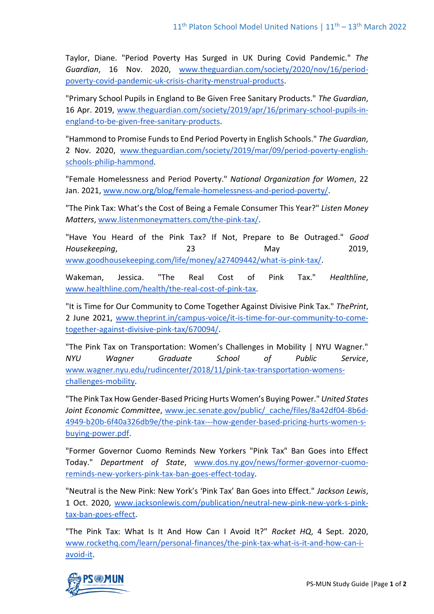Taylor, Diane. "Period Poverty Has Surged in UK During Covid Pandemic." *The Guardian*, 16 Nov. 2020, [www.theguardian.com/society/2020/nov/16/period](http://www.theguardian.com/society/2020/nov/16/period-poverty-covid-pandemic-uk-crisis-charity-menstrual-products)[poverty-covid-pandemic-uk-crisis-charity-menstrual-products.](http://www.theguardian.com/society/2020/nov/16/period-poverty-covid-pandemic-uk-crisis-charity-menstrual-products)

"Primary School Pupils in England to Be Given Free Sanitary Products." *The Guardian*, 16 Apr. 2019, [www.theguardian.com/society/2019/apr/16/primary-school-pupils-in](http://www.theguardian.com/society/2019/apr/16/primary-school-pupils-in-england-to-be-given-free-sanitary-products)[england-to-be-given-free-sanitary-products.](http://www.theguardian.com/society/2019/apr/16/primary-school-pupils-in-england-to-be-given-free-sanitary-products)

"Hammond to Promise Funds to End Period Poverty in English Schools." *The Guardian*, 2 Nov. 2020, [www.theguardian.com/society/2019/mar/09/period-poverty-english](http://www.theguardian.com/society/2019/mar/09/period-poverty-english-schools-philip-hammond)[schools-philip-hammond.](http://www.theguardian.com/society/2019/mar/09/period-poverty-english-schools-philip-hammond)

"Female Homelessness and Period Poverty." *National Organization for Women*, 22 Jan. 2021[, www.now.org/blog/female-homelessness-and-period-poverty/.](http://www.now.org/blog/female-homelessness-and-period-poverty/)

"The Pink Tax: What's the Cost of Being a Female Consumer This Year?" *Listen Money Matters*[, www.listenmoneymatters.com/the-pink-tax/.](http://www.listenmoneymatters.com/the-pink-tax/)

"Have You Heard of the Pink Tax? If Not, Prepare to Be Outraged." *Good Housekeeping*, 23 May 2019, [www.goodhousekeeping.com/life/money/a27409442/what-is-pink-tax/.](http://www.goodhousekeeping.com/life/money/a27409442/what-is-pink-tax/)

Wakeman, Jessica. "The Real Cost of Pink Tax." *Healthline*, [www.healthline.com/health/the-real-cost-of-pink-tax.](http://www.healthline.com/health/the-real-cost-of-pink-tax)

"It is Time for Our Community to Come Together Against Divisive Pink Tax." *ThePrint*, 2 June 2021, [www.theprint.in/campus-voice/it-is-time-for-our-community-to-come](http://www.theprint.in/campus-voice/it-is-time-for-our-community-to-come-together-against-divisive-pink-tax/670094/)[together-against-divisive-pink-tax/670094/.](http://www.theprint.in/campus-voice/it-is-time-for-our-community-to-come-together-against-divisive-pink-tax/670094/)

"The Pink Tax on Transportation: Women's Challenges in Mobility | NYU Wagner." *NYU Wagner Graduate School of Public Service*, [www.wagner.nyu.edu/rudincenter/2018/11/pink-tax-transportation-womens](http://www.wagner.nyu.edu/rudincenter/2018/11/pink-tax-transportation-womens-challenges-mobility)[challenges-mobility.](http://www.wagner.nyu.edu/rudincenter/2018/11/pink-tax-transportation-womens-challenges-mobility)

"The Pink Tax How Gender-Based Pricing Hurts Women's Buying Power." *United States Joint Economic Committee*, [www.jec.senate.gov/public/\\_cache/files/8a42df04-8b6d-](http://www.jec.senate.gov/public/_cache/files/8a42df04-8b6d-4949-b20b-6f40a326db9e/the-pink-tax---how-gender-based-pricing-hurts-women-s-buying-power.pdf)[4949-b20b-6f40a326db9e/the-pink-tax---how-gender-based-pricing-hurts-women-s](http://www.jec.senate.gov/public/_cache/files/8a42df04-8b6d-4949-b20b-6f40a326db9e/the-pink-tax---how-gender-based-pricing-hurts-women-s-buying-power.pdf)[buying-power.pdf.](http://www.jec.senate.gov/public/_cache/files/8a42df04-8b6d-4949-b20b-6f40a326db9e/the-pink-tax---how-gender-based-pricing-hurts-women-s-buying-power.pdf)

"Former Governor Cuomo Reminds New Yorkers "Pink Tax" Ban Goes into Effect Today." *Department of State*, [www.dos.ny.gov/news/former-governor-cuomo](http://www.dos.ny.gov/news/former-governor-cuomo-reminds-new-yorkers-pink-tax-ban-goes-effect-today)[reminds-new-yorkers-pink-tax-ban-goes-effect-today.](http://www.dos.ny.gov/news/former-governor-cuomo-reminds-new-yorkers-pink-tax-ban-goes-effect-today)

"Neutral is the New Pink: New York's 'Pink Tax' Ban Goes into Effect." *Jackson Lewis*, 1 Oct. 2020, [www.jacksonlewis.com/publication/neutral-new-pink-new-york-s-pink](http://www.jacksonlewis.com/publication/neutral-new-pink-new-york-s-pink-tax-ban-goes-effect)[tax-ban-goes-effect.](http://www.jacksonlewis.com/publication/neutral-new-pink-new-york-s-pink-tax-ban-goes-effect)

"The Pink Tax: What Is It And How Can I Avoid It?" *Rocket HQ*, 4 Sept. 2020, [www.rockethq.com/learn/personal-finances/the-pink-tax-what-is-it-and-how-can-i](http://www.rockethq.com/learn/personal-finances/the-pink-tax-what-is-it-and-how-can-i-avoid-it)[avoid-it.](http://www.rockethq.com/learn/personal-finances/the-pink-tax-what-is-it-and-how-can-i-avoid-it)